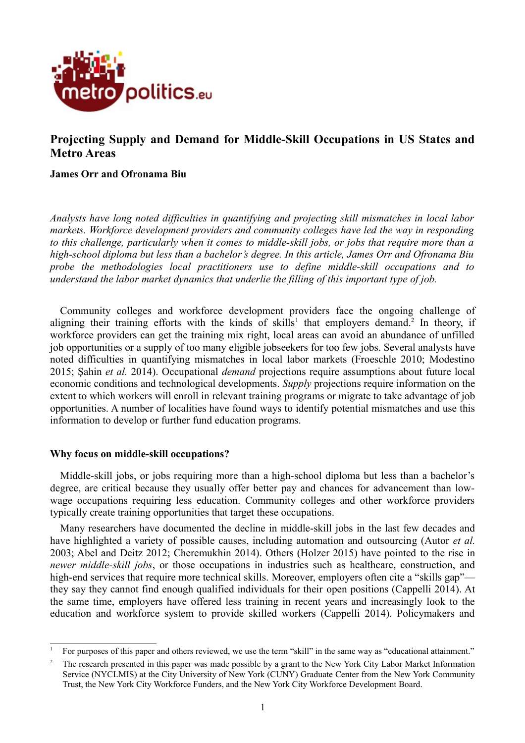

# **Projecting Supply and Demand for Middle-Skill Occupations in US States and Metro Areas**

# **James Orr and Ofronama Biu**

*Analysts have long noted difficulties in quantifying and projecting skill mismatches in local labor markets. Workforce development providers and community colleges have led the way in responding to this challenge, particularly when it comes to middle-skill jobs, or jobs that require more than a high-school diploma but less than a bachelor's degree. In this article, James Orr and Ofronama Biu probe the methodologies local practitioners use to define middle-skill occupations and to understand the labor market dynamics that underlie the filling of this important type of job.*

Community colleges and workforce development providers face the ongoing challenge of aligning their training efforts with the kinds of skills<sup>[1](#page-0-0)</sup> that employers demand.<sup>[2](#page-0-1)</sup> In theory, if workforce providers can get the training mix right, local areas can avoid an abundance of unfilled job opportunities or a supply of too many eligible jobseekers for too few jobs. Several analysts have noted difficulties in quantifying mismatches in local labor markets (Froeschle 2010; Modestino 2015; Şahin *et al.* 2014). Occupational *demand* projections require assumptions about future local economic conditions and technological developments. *Supply* projections require information on the extent to which workers will enroll in relevant training programs or migrate to take advantage of job opportunities. A number of localities have found ways to identify potential mismatches and use this information to develop or further fund education programs.

### **Why focus on middle-skill occupations?**

Middle-skill jobs, or jobs requiring more than a high-school diploma but less than a bachelor's degree, are critical because they usually offer better pay and chances for advancement than lowwage occupations requiring less education. Community colleges and other workforce providers typically create training opportunities that target these occupations.

Many researchers have documented the decline in middle-skill jobs in the last few decades and have highlighted a variety of possible causes, including automation and outsourcing (Autor *et al.* 2003; Abel and Deitz 2012; Cheremukhin 2014). Others (Holzer 2015) have pointed to the rise in *newer middle-skill jobs*, or those occupations in industries such as healthcare, construction, and high-end services that require more technical skills. Moreover, employers often cite a "skills gap" they say they cannot find enough qualified individuals for their open positions (Cappelli 2014). At the same time, employers have offered less training in recent years and increasingly look to the education and workforce system to provide skilled workers (Cappelli 2014). Policymakers and

<span id="page-0-0"></span><sup>1</sup> For purposes of this paper and others reviewed, we use the term "skill" in the same way as "educational attainment."

<span id="page-0-1"></span><sup>2</sup> The research presented in this paper was made possible by a grant to the New York City Labor Market Information Service (NYCLMIS) at the City University of New York (CUNY) Graduate Center from the New York Community Trust, the New York City Workforce Funders, and the New York City Workforce Development Board.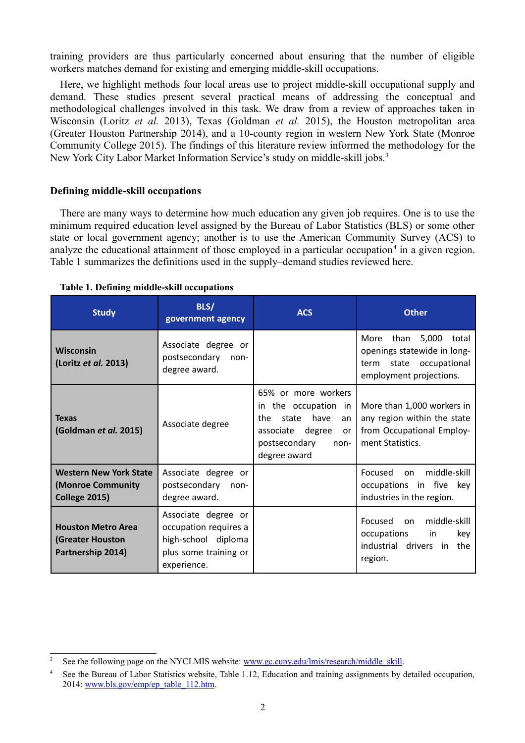training providers are thus particularly concerned about ensuring that the number of eligible workers matches demand for existing and emerging middle-skill occupations.

Here, we highlight methods four local areas use to project middle-skill occupational supply and demand. These studies present several practical means of addressing the conceptual and methodological challenges involved in this task. We draw from a review of approaches taken in Wisconsin (Loritz *et al.* 2013), Texas (Goldman *et al.* 2015), the Houston metropolitan area (Greater Houston Partnership 2014), and a 10-county region in western New York State (Monroe Community College 2015). The findings of this literature review informed the methodology for the New York City Labor Market Information Service's study on middle-skill jobs.<sup>[3](#page-1-0)</sup>

# **Defining middle-skill occupations**

There are many ways to determine how much education any given job requires. One is to use the minimum required education level assigned by the Bureau of Labor Statistics (BLS) or some other state or local government agency; another is to use the American Community Survey (ACS) to analyze the educational attainment of those employed in a particular occupation<sup>[4](#page-1-1)</sup> in a given region. Table 1 summarizes the definitions used in the supply–demand studies reviewed here.

| <b>Study</b>                                                               | BLS/<br>government agency                                                                                   | <b>ACS</b>                                                                                                                                   | <b>Other</b>                                                                                                           |
|----------------------------------------------------------------------------|-------------------------------------------------------------------------------------------------------------|----------------------------------------------------------------------------------------------------------------------------------------------|------------------------------------------------------------------------------------------------------------------------|
| <b>Wisconsin</b><br>(Loritz et al. 2013)                                   | Associate degree or<br>postsecondary<br>non-<br>degree award.                                               |                                                                                                                                              | 5,000<br>than<br>More<br>total<br>openings statewide in long-<br>state occupational<br>term<br>employment projections. |
| <b>Texas</b><br>(Goldman et al. 2015)                                      | Associate degree                                                                                            | 65% or more workers<br>in the occupation in<br>have<br>state<br>the<br>an<br>associate degree<br>or<br>postsecondary<br>non-<br>degree award | More than 1,000 workers in<br>any region within the state<br>from Occupational Employ-<br>ment Statistics.             |
| <b>Western New York State</b><br>(Monroe Community<br><b>College 2015)</b> | Associate degree or<br>postsecondary non-<br>degree award.                                                  |                                                                                                                                              | middle-skill<br>Focused<br>on.<br>occupations in five<br>key<br>industries in the region.                              |
| <b>Houston Metro Area</b><br><b>(Greater Houston</b><br>Partnership 2014)  | Associate degree or<br>occupation requires a<br>high-school diploma<br>plus some training or<br>experience. |                                                                                                                                              | middle-skill<br>Focused<br>on<br>occupations<br>key<br>in<br>industrial drivers<br>the<br>in<br>region.                |

#### **Table 1. Defining middle-skill occupations**

<span id="page-1-0"></span>See the following page on the NYCLMIS website: [www.gc.cuny.edu/lmis/research/middle\\_skill.](http://www.gc.cuny.edu/lmis/research/middle_skill)

<span id="page-1-1"></span>See the Bureau of Labor Statistics website, Table 1.12, Education and training assignments by detailed occupation, 2014: [www.bls.gov/emp/ep\\_table\\_112.htm.](https://www.bls.gov/emp/ep_table_112.htm)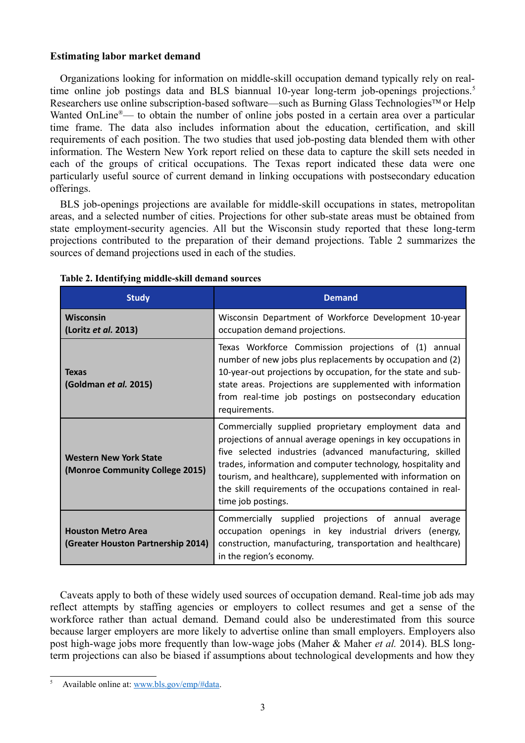# **Estimating labor market demand**

Organizations looking for information on middle-skill occupation demand typically rely on real-time online job postings data and BLS biannual 10-year long-term job-openings projections.<sup>[5](#page-2-1)</sup> Researchers use online subscription-based software—such as Burning Glass Technologies<sup>TM</sup> or Help Wanted OnLine<sup>®</sup>— to obtain the number of online jobs posted in a certain area over a particular time frame. The data also includes information about the education, certification, and skill requirements of each position. The two studies that used job-posting data blended them with other information. The Western New York report relied on these data to capture the skill sets needed in each of the groups of critical occupations. The Texas report indicated these data were one particularly useful source of current demand in linking occupations with postsecondary education offerings.

BLS job-openings projections are available for middle-skill occupations in states, metropolitan areas, and a selected number of cities. Projections for other sub-state areas must be obtained from state employment-security agencies. All but the Wisconsin study reported that these long-term projections contributed to the preparation of their demand projections. Table 2 summarizes the sources of demand projections used in each of the studies.

| <b>Study</b>                                                     | <b>Demand</b>                                                                                                                                                                                                                                                                                                                                                                                          |  |  |
|------------------------------------------------------------------|--------------------------------------------------------------------------------------------------------------------------------------------------------------------------------------------------------------------------------------------------------------------------------------------------------------------------------------------------------------------------------------------------------|--|--|
| <b>Wisconsin</b><br>(Loritz et al. 2013)                         | Wisconsin Department of Workforce Development 10-year<br>occupation demand projections.                                                                                                                                                                                                                                                                                                                |  |  |
| <b>Texas</b><br>(Goldman et al. 2015)                            | Texas Workforce Commission projections of (1) annual<br>number of new jobs plus replacements by occupation and (2)<br>10-year-out projections by occupation, for the state and sub-<br>state areas. Projections are supplemented with information<br>from real-time job postings on postsecondary education<br>requirements.                                                                           |  |  |
| <b>Western New York State</b><br>(Monroe Community College 2015) | Commercially supplied proprietary employment data and<br>projections of annual average openings in key occupations in<br>five selected industries (advanced manufacturing, skilled<br>trades, information and computer technology, hospitality and<br>tourism, and healthcare), supplemented with information on<br>the skill requirements of the occupations contained in real-<br>time job postings. |  |  |
| <b>Houston Metro Area</b><br>(Greater Houston Partnership 2014)  | Commercially supplied projections of annual<br>average<br>occupation openings in key industrial drivers (energy,<br>construction, manufacturing, transportation and healthcare)<br>in the region's economy.                                                                                                                                                                                            |  |  |

### **Table 2. Identifying middle-skill demand sources**

Caveats apply to both of these widely used sources of occupation demand. Real-time job ads may reflect attempts by staffing agencies or employers to collect resumes and get a sense of the workforce rather than actual demand. Demand could also be underestimated from this source because larger employers are more likely to advertise online than small employers. Employers also post high-wage jobs more frequently than low-wage jobs (Maher & Maher *et al.* 2014). BLS longterm projections can also be biased if assumptions about technological developments and how they

<span id="page-2-1"></span><span id="page-2-0"></span>Available online at: [www.bls.gov/emp/#data.](#page-2-0)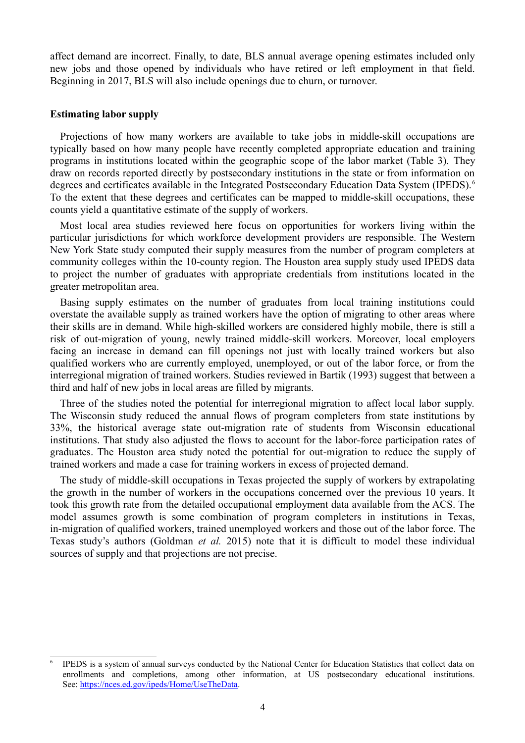affect demand are incorrect. Finally, to date, BLS annual average opening estimates included only new jobs and those opened by individuals who have retired or left employment in that field. Beginning in 2017, BLS will also include openings due to churn, or turnover.

### **Estimating labor supply**

Projections of how many workers are available to take jobs in middle-skill occupations are typically based on how many people have recently completed appropriate education and training programs in institutions located within the geographic scope of the labor market (Table 3). They draw on records reported directly by postsecondary institutions in the state or from information on degrees and certificates available in the Integrated Postsecondary Education Data System (IPEDS).<sup>[6](#page-3-0)</sup> To the extent that these degrees and certificates can be mapped to middle-skill occupations, these counts yield a quantitative estimate of the supply of workers.

Most local area studies reviewed here focus on opportunities for workers living within the particular jurisdictions for which workforce development providers are responsible. The Western New York State study computed their supply measures from the number of program completers at community colleges within the 10-county region. The Houston area supply study used IPEDS data to project the number of graduates with appropriate credentials from institutions located in the greater metropolitan area.

Basing supply estimates on the number of graduates from local training institutions could overstate the available supply as trained workers have the option of migrating to other areas where their skills are in demand. While high-skilled workers are considered highly mobile, there is still a risk of out-migration of young, newly trained middle-skill workers. Moreover, local employers facing an increase in demand can fill openings not just with locally trained workers but also qualified workers who are currently employed, unemployed, or out of the labor force, or from the interregional migration of trained workers. Studies reviewed in Bartik (1993) suggest that between a third and half of new jobs in local areas are filled by migrants.

Three of the studies noted the potential for interregional migration to affect local labor supply. The Wisconsin study reduced the annual flows of program completers from state institutions by 33%, the historical average state out-migration rate of students from Wisconsin educational institutions. That study also adjusted the flows to account for the labor-force participation rates of graduates. The Houston area study noted the potential for out-migration to reduce the supply of trained workers and made a case for training workers in excess of projected demand.

The study of middle-skill occupations in Texas projected the supply of workers by extrapolating the growth in the number of workers in the occupations concerned over the previous 10 years. It took this growth rate from the detailed occupational employment data available from the ACS. The model assumes growth is some combination of program completers in institutions in Texas, in-migration of qualified workers, trained unemployed workers and those out of the labor force. The Texas study's authors (Goldman *et al.* 2015) note that it is difficult to model these individual sources of supply and that projections are not precise.

<span id="page-3-0"></span><sup>6</sup> IPEDS is a system of annual surveys conducted by the National Center for Education Statistics that collect data on enrollments and completions, among other information, at US postsecondary educational institutions. See: [https://nces.ed.gov/ipeds/Home/UseTheData.](https://nces.ed.gov/ipeds/Home/UseTheData)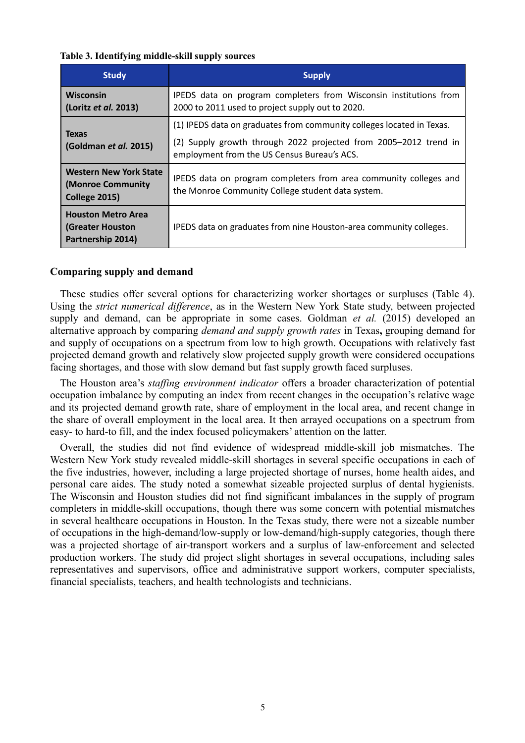#### **Table 3. Identifying middle-skill supply sources**

| <b>Study</b>                                                              | <b>Supply</b>                                                         |  |
|---------------------------------------------------------------------------|-----------------------------------------------------------------------|--|
| <b>Wisconsin</b>                                                          | IPEDS data on program completers from Wisconsin institutions from     |  |
| (Loritz et al. 2013)                                                      | 2000 to 2011 used to project supply out to 2020.                      |  |
| <b>Texas</b>                                                              | (1) IPEDS data on graduates from community colleges located in Texas. |  |
| (Goldman et al. 2015)                                                     | (2) Supply growth through 2022 projected from 2005-2012 trend in      |  |
| <b>Western New York State</b>                                             | employment from the US Census Bureau's ACS.                           |  |
| (Monroe Community                                                         | IPEDS data on program completers from area community colleges and     |  |
| <b>College 2015)</b>                                                      | the Monroe Community College student data system.                     |  |
| <b>Houston Metro Area</b><br><b>(Greater Houston</b><br>Partnership 2014) | IPEDS data on graduates from nine Houston-area community colleges.    |  |

# **Comparing supply and demand**

These studies offer several options for characterizing worker shortages or surpluses (Table 4). Using the *strict numerical difference*, as in the Western New York State study, between projected supply and demand, can be appropriate in some cases. Goldman *et al.* (2015) developed an alternative approach by comparing *demand and supply growth rates* in Texas**,** grouping demand for and supply of occupations on a spectrum from low to high growth. Occupations with relatively fast projected demand growth and relatively slow projected supply growth were considered occupations facing shortages, and those with slow demand but fast supply growth faced surpluses.

The Houston area's *staffing environment indicator* offers a broader characterization of potential occupation imbalance by computing an index from recent changes in the occupation's relative wage and its projected demand growth rate, share of employment in the local area, and recent change in the share of overall employment in the local area. It then arrayed occupations on a spectrum from easy- to hard-to fill, and the index focused policymakers' attention on the latter.

Overall, the studies did not find evidence of widespread middle-skill job mismatches. The Western New York study revealed middle-skill shortages in several specific occupations in each of the five industries, however, including a large projected shortage of nurses, home health aides, and personal care aides. The study noted a somewhat sizeable projected surplus of dental hygienists. The Wisconsin and Houston studies did not find significant imbalances in the supply of program completers in middle-skill occupations, though there was some concern with potential mismatches in several healthcare occupations in Houston. In the Texas study, there were not a sizeable number of occupations in the high-demand/low-supply or low-demand/high-supply categories, though there was a projected shortage of air-transport workers and a surplus of law-enforcement and selected production workers. The study did project slight shortages in several occupations, including sales representatives and supervisors, office and administrative support workers, computer specialists, financial specialists, teachers, and health technologists and technicians.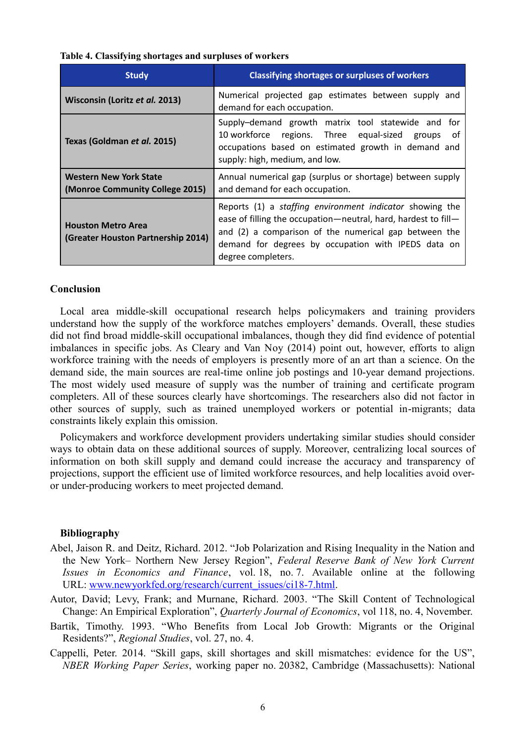| Table 4. Classifying shortages and surpluses of workers |  |  |  |  |  |
|---------------------------------------------------------|--|--|--|--|--|
|---------------------------------------------------------|--|--|--|--|--|

| <b>Study</b>                                                     | <b>Classifying shortages or surpluses of workers</b>                                                                                                                                                                                                             |  |
|------------------------------------------------------------------|------------------------------------------------------------------------------------------------------------------------------------------------------------------------------------------------------------------------------------------------------------------|--|
| Wisconsin (Loritz et al. 2013)                                   | Numerical projected gap estimates between supply and<br>demand for each occupation.                                                                                                                                                                              |  |
| Texas (Goldman et al. 2015)                                      | Supply-demand growth matrix tool statewide and for<br>10 workforce regions. Three equal-sized groups<br>0t<br>occupations based on estimated growth in demand and<br>supply: high, medium, and low.                                                              |  |
| <b>Western New York State</b><br>(Monroe Community College 2015) | Annual numerical gap (surplus or shortage) between supply<br>and demand for each occupation.                                                                                                                                                                     |  |
| <b>Houston Metro Area</b><br>(Greater Houston Partnership 2014)  | Reports (1) a staffing environment indicator showing the<br>ease of filling the occupation—neutral, hard, hardest to fill—<br>and (2) a comparison of the numerical gap between the<br>demand for degrees by occupation with IPEDS data on<br>degree completers. |  |

#### **Conclusion**

Local area middle-skill occupational research helps policymakers and training providers understand how the supply of the workforce matches employers' demands. Overall, these studies did not find broad middle-skill occupational imbalances, though they did find evidence of potential imbalances in specific jobs. As Cleary and Van Noy (2014) point out, however, efforts to align workforce training with the needs of employers is presently more of an art than a science. On the demand side, the main sources are real-time online job postings and 10-year demand projections. The most widely used measure of supply was the number of training and certificate program completers. All of these sources clearly have shortcomings. The researchers also did not factor in other sources of supply, such as trained unemployed workers or potential in-migrants; data constraints likely explain this omission.

Policymakers and workforce development providers undertaking similar studies should consider ways to obtain data on these additional sources of supply. Moreover, centralizing local sources of information on both skill supply and demand could increase the accuracy and transparency of projections, support the efficient use of limited workforce resources, and help localities avoid overor under-producing workers to meet projected demand.

#### **Bibliography**

- Abel, Jaison R. and Deitz, Richard. 2012. "Job Polarization and Rising Inequality in the Nation and the New York– Northern New Jersey Region", *Federal Reserve Bank of New York Current Issues in Economics and Finance*, vol. 18, no. 7. Available online at the following URL: [www.newyorkfed.org/research/current\\_issues/ci18-7.html.](https://www.newyorkfed.org/research/current_issues/ci18-7.html)
- Autor, David; Levy, Frank; and Murnane, Richard. 2003. "The Skill Content of Technological Change: An Empirical Exploration", *Quarterly Journal of Economics*, vol 118, no. 4, November.
- Bartik, Timothy. 1993. "Who Benefits from Local Job Growth: Migrants or the Original Residents?", *Regional Studies*, vol. 27, no. 4.
- Cappelli, Peter. 2014. "Skill gaps, skill shortages and skill mismatches: evidence for the US", *NBER Working Paper Series*, working paper no. 20382, Cambridge (Massachusetts): National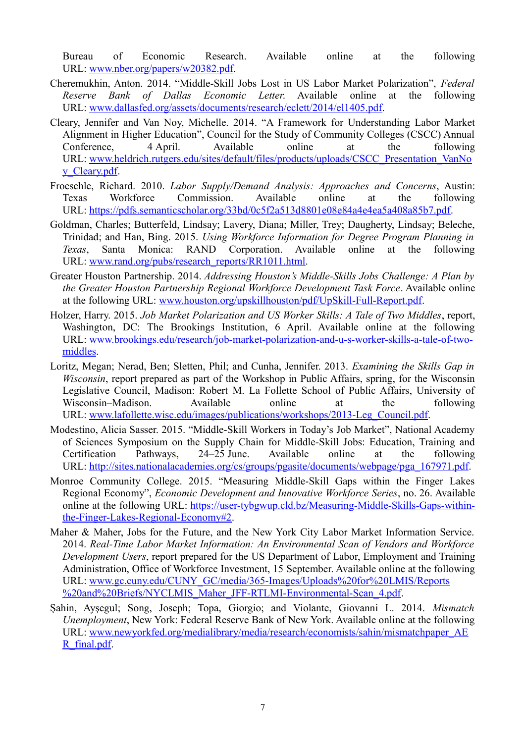Bureau of Economic Research. Available online at the following URL: [www.nber.org/papers/w20382.pdf.](http://www.nber.org/papers/w20382.pdf)

- Cheremukhin, Anton. 2014. "Middle-Skill Jobs Lost in US Labor Market Polarization", *Federal Reserve Bank of Dallas Economic Letter*. Available online at the following URL: [www.dallasfed.org/assets/documents/research/eclett/2014/el1405.pdf.](http://www.dallasfed.org/assets/documents/research/eclett/2014/el1405.pdf)
- Cleary, Jennifer and Van Noy, Michelle. 2014. "A Framework for Understanding Labor Market Alignment in Higher Education", Council for the Study of Community Colleges (CSCC) Annual Conference, 4 April. Available online at the following URL: [www.heldrich.rutgers.edu/sites/default/files/products/uploads/CSCC\\_Presentation\\_VanNo](http://www.heldrich.rutgers.edu/sites/default/files/products/uploads/CSCC_Presentation_VanNoy_Cleary.pdf) [y\\_Cleary.pdf.](http://www.heldrich.rutgers.edu/sites/default/files/products/uploads/CSCC_Presentation_VanNoy_Cleary.pdf)
- Froeschle, Richard. 2010. *Labor Supply/Demand Analysis: Approaches and Concerns*, Austin: Texas Workforce Commission. Available online at the following URL: [https://pdfs.semanticscholar.org/33bd/0c5f2a513d8801e08e84a4e4ea5a408a85b7.pdf.](https://pdfs.semanticscholar.org/33bd/0c5f2a513d8801e08e84a4e4ea5a408a85b7.pdf)
- Goldman, Charles; Butterfeld, Lindsay; Lavery, Diana; Miller, Trey; Daugherty, Lindsay; Beleche, Trinidad; and Han, Bing. 2015. *Using Workforce Information for Degree Program Planning in Texas*, Santa Monica: RAND Corporation. Available online at the following URL: [www.rand.org/pubs/research\\_reports/RR1011.html.](http://www.rand.org/pubs/research_reports/RR1011.html)
- Greater Houston Partnership. 2014. *Addressing Houston's Middle-Skills Jobs Challenge: A Plan by the Greater Houston Partnership Regional Workforce Development Task Force*. Available online at the following URL: [www.houston.org/upskillhouston/pdf/UpSkill-Full-Report.pdf.](http://www.houston.org/upskillhouston/pdf/UpSkill-Full-Report.pdf)
- Holzer, Harry. 2015. *Job Market Polarization and US Worker Skills: A Tale of Two Middles*, report, Washington, DC: The Brookings Institution, 6 April. Available online at the following URL: [www.brookings.edu/research/job-market-polarization-and-u-s-worker-skills-a-tale-of-two](http://www.brookings.edu/research/job-market-polarization-and-u-s-worker-skills-a-tale-of-two-middles)[middles.](http://www.brookings.edu/research/job-market-polarization-and-u-s-worker-skills-a-tale-of-two-middles)
- Loritz, Megan; Nerad, Ben; Sletten, Phil; and Cunha, Jennifer. 2013. *Examining the Skills Gap in Wisconsin*, report prepared as part of the Workshop in Public Affairs, spring, for the Wisconsin Legislative Council, Madison: Robert M. La Follette School of Public Affairs, University of Wisconsin–Madison. Available online at the following URL: [www.lafollette.wisc.edu/images/publications/workshops/2013-Leg\\_Council.pdf.](http://www.lafollette.wisc.edu/images/publications/workshops/2013-Leg_Council.pdf)
- Modestino, Alicia Sasser. 2015. "Middle-Skill Workers in Today's Job Market", National Academy of Sciences Symposium on the Supply Chain for Middle-Skill Jobs: Education, Training and Certification Pathways, 24–25 June. Available online at the following URL: [http://sites.nationalacademies.org/cs/groups/pgasite/documents/webpage/pga\\_167971.pdf.](http://sites.nationalacademies.org/cs/groups/pgasite/documents/webpage/pga_167971.pdf)
- Monroe Community College. 2015. "Measuring Middle-Skill Gaps within the Finger Lakes Regional Economy", *Economic Development and Innovative Workforce Series*, no. 26. Available online at the following URL: [https://user-tybgwup.cld.bz/Measuring-Middle-Skills-Gaps-within](https://user-tybgwup.cld.bz/Measuring-Middle-Skills-Gaps-within-the-Finger-Lakes-Regional-Economy#2)[the-Finger-Lakes-Regional-Economy#2.](https://user-tybgwup.cld.bz/Measuring-Middle-Skills-Gaps-within-the-Finger-Lakes-Regional-Economy#2)
- Maher & Maher, Jobs for the Future, and the New York City Labor Market Information Service. 2014. *Real-Time Labor Market Information: An Environmental Scan of Vendors and Workforce Development Users*, report prepared for the US Department of Labor, Employment and Training Administration, Office of Workforce Investment, 15 September. Available online at the following URL: [www.gc.cuny.edu/CUNY\\_GC/media/365-Images/Uploads%20for%20LMIS/Reports](http://www.gc.cuny.edu/CUNY_GC/media/365-Images/Uploads%20for%20LMIS/Reports%20and%20Briefs/NYCLMIS_Maher_JFF-RTLMI-Environmental-Scan_4.pdf) [%20and%20Briefs/NYCLMIS\\_Maher\\_JFF-RTLMI-Environmental-Scan\\_4.pdf.](http://www.gc.cuny.edu/CUNY_GC/media/365-Images/Uploads%20for%20LMIS/Reports%20and%20Briefs/NYCLMIS_Maher_JFF-RTLMI-Environmental-Scan_4.pdf)
- Şahin, Ayşegul; Song, Joseph; Topa, Giorgio; and Violante, Giovanni L. 2014. *Mismatch Unemployment*, New York: Federal Reserve Bank of New York. Available online at the following URL: [www.newyorkfed.org/medialibrary/media/research/economists/sahin/mismatchpaper\\_AE](http://www.newyorkfed.org/medialibrary/media/research/economists/sahin/mismatchpaper_AER_final.pdf) [R\\_final.pdf.](http://www.newyorkfed.org/medialibrary/media/research/economists/sahin/mismatchpaper_AER_final.pdf)